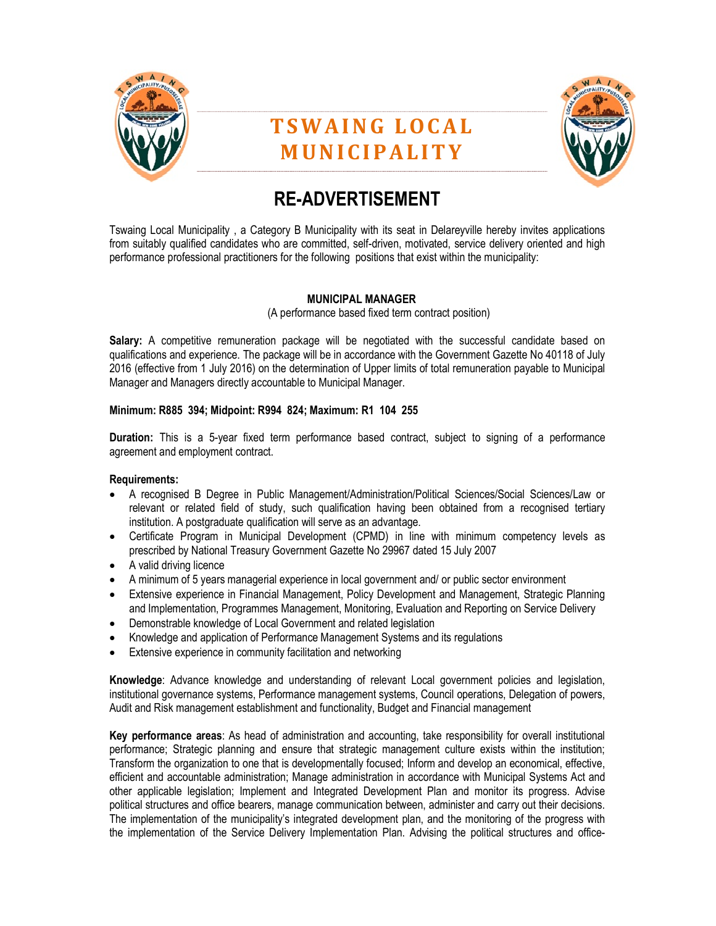

# T S W A I N G L O C A L **MUNICIPALITY**



## RE-ADVERTISEMENT

Tswaing Local Municipality , a Category B Municipality with its seat in Delareyville hereby invites applications from suitably qualified candidates who are committed, self-driven, motivated, service delivery oriented and high performance professional practitioners for the following positions that exist within the municipality:

## MUNICIPAL MANAGER

(A performance based fixed term contract position)

Salary: A competitive remuneration package will be negotiated with the successful candidate based on qualifications and experience. The package will be in accordance with the Government Gazette No 40118 of July 2016 (effective from 1 July 2016) on the determination of Upper limits of total remuneration payable to Municipal Manager and Managers directly accountable to Municipal Manager.

## Minimum: R885 394; Midpoint: R994 824; Maximum: R1 104 255

Duration: This is a 5-year fixed term performance based contract, subject to signing of a performance agreement and employment contract.

## Requirements:

- A recognised B Degree in Public Management/Administration/Political Sciences/Social Sciences/Law or relevant or related field of study, such qualification having been obtained from a recognised tertiary institution. A postgraduate qualification will serve as an advantage.
- Certificate Program in Municipal Development (CPMD) in line with minimum competency levels as prescribed by National Treasury Government Gazette No 29967 dated 15 July 2007
- A valid driving licence
- A minimum of 5 years managerial experience in local government and/ or public sector environment
- Extensive experience in Financial Management, Policy Development and Management, Strategic Planning and Implementation, Programmes Management, Monitoring, Evaluation and Reporting on Service Delivery
- Demonstrable knowledge of Local Government and related legislation
- Knowledge and application of Performance Management Systems and its regulations
- Extensive experience in community facilitation and networking

Knowledge: Advance knowledge and understanding of relevant Local government policies and legislation, institutional governance systems, Performance management systems, Council operations, Delegation of powers, Audit and Risk management establishment and functionality, Budget and Financial management

Key performance areas: As head of administration and accounting, take responsibility for overall institutional performance; Strategic planning and ensure that strategic management culture exists within the institution; Transform the organization to one that is developmentally focused; Inform and develop an economical, effective, efficient and accountable administration; Manage administration in accordance with Municipal Systems Act and other applicable legislation; Implement and Integrated Development Plan and monitor its progress. Advise political structures and office bearers, manage communication between, administer and carry out their decisions. The implementation of the municipality's integrated development plan, and the monitoring of the progress with the implementation of the Service Delivery Implementation Plan. Advising the political structures and office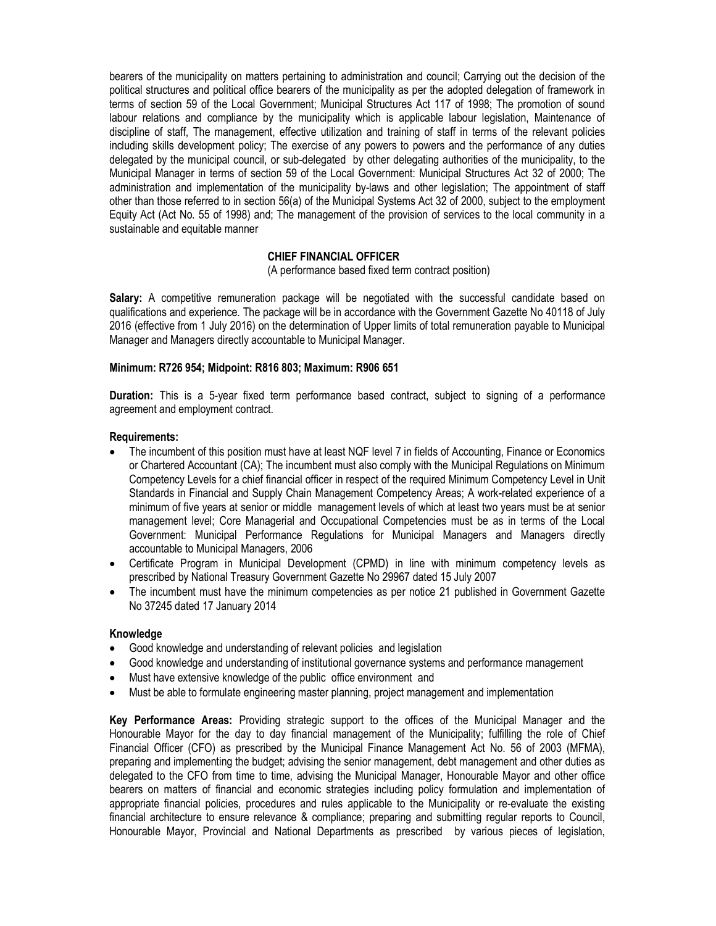bearers of the municipality on matters pertaining to administration and council; Carrying out the decision of the political structures and political office bearers of the municipality as per the adopted delegation of framework in terms of section 59 of the Local Government; Municipal Structures Act 117 of 1998; The promotion of sound labour relations and compliance by the municipality which is applicable labour legislation, Maintenance of discipline of staff, The management, effective utilization and training of staff in terms of the relevant policies including skills development policy; The exercise of any powers to powers and the performance of any duties delegated by the municipal council, or sub-delegated by other delegating authorities of the municipality, to the Municipal Manager in terms of section 59 of the Local Government: Municipal Structures Act 32 of 2000; The administration and implementation of the municipality by-laws and other legislation; The appointment of staff other than those referred to in section 56(a) of the Municipal Systems Act 32 of 2000, subject to the employment Equity Act (Act No. 55 of 1998) and; The management of the provision of services to the local community in a sustainable and equitable manner

## CHIEF FINANCIAL OFFICER

(A performance based fixed term contract position)

Salary: A competitive remuneration package will be negotiated with the successful candidate based on qualifications and experience. The package will be in accordance with the Government Gazette No 40118 of July 2016 (effective from 1 July 2016) on the determination of Upper limits of total remuneration payable to Municipal Manager and Managers directly accountable to Municipal Manager.

## Minimum: R726 954; Midpoint: R816 803; Maximum: R906 651

Duration: This is a 5-year fixed term performance based contract, subject to signing of a performance agreement and employment contract.

#### Requirements:

- The incumbent of this position must have at least NQF level 7 in fields of Accounting, Finance or Economics or Chartered Accountant (CA); The incumbent must also comply with the Municipal Regulations on Minimum Competency Levels for a chief financial officer in respect of the required Minimum Competency Level in Unit Standards in Financial and Supply Chain Management Competency Areas; A work-related experience of a minimum of five years at senior or middle management levels of which at least two years must be at senior management level; Core Managerial and Occupational Competencies must be as in terms of the Local Government: Municipal Performance Regulations for Municipal Managers and Managers directly accountable to Municipal Managers, 2006
- Certificate Program in Municipal Development (CPMD) in line with minimum competency levels as prescribed by National Treasury Government Gazette No 29967 dated 15 July 2007
- The incumbent must have the minimum competencies as per notice 21 published in Government Gazette No 37245 dated 17 January 2014

#### **Knowledge**

- Good knowledge and understanding of relevant policies and legislation
- Good knowledge and understanding of institutional governance systems and performance management
- Must have extensive knowledge of the public office environment and
- Must be able to formulate engineering master planning, project management and implementation

Key Performance Areas: Providing strategic support to the offices of the Municipal Manager and the Honourable Mayor for the day to day financial management of the Municipality; fulfilling the role of Chief Financial Officer (CFO) as prescribed by the Municipal Finance Management Act No. 56 of 2003 (MFMA), preparing and implementing the budget; advising the senior management, debt management and other duties as delegated to the CFO from time to time, advising the Municipal Manager, Honourable Mayor and other office bearers on matters of financial and economic strategies including policy formulation and implementation of appropriate financial policies, procedures and rules applicable to the Municipality or re-evaluate the existing financial architecture to ensure relevance & compliance; preparing and submitting regular reports to Council, Honourable Mayor, Provincial and National Departments as prescribed by various pieces of legislation,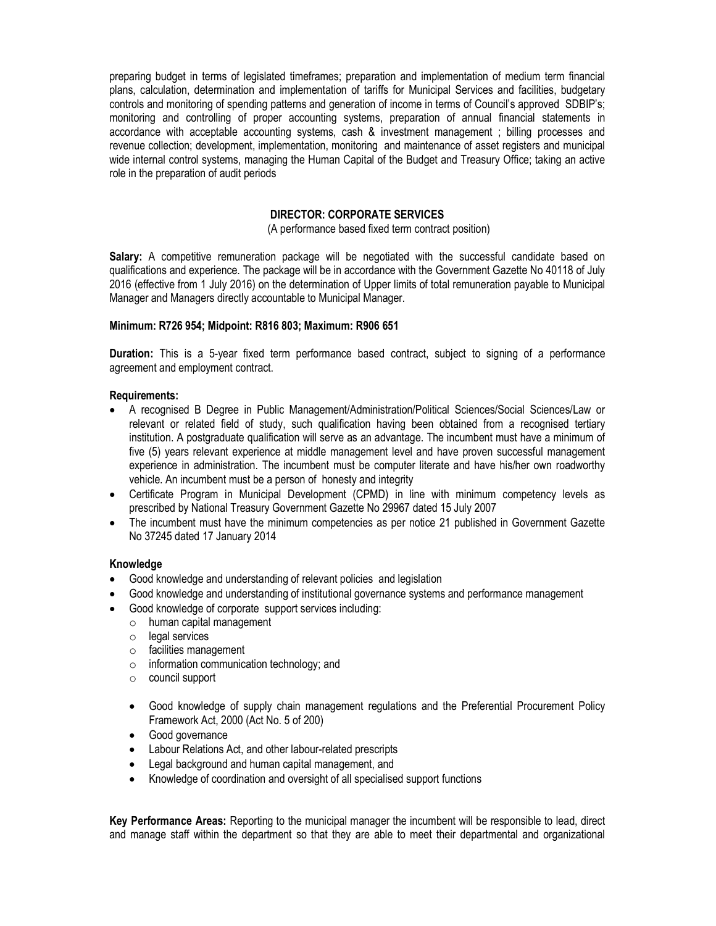preparing budget in terms of legislated timeframes; preparation and implementation of medium term financial plans, calculation, determination and implementation of tariffs for Municipal Services and facilities, budgetary controls and monitoring of spending patterns and generation of income in terms of Council's approved SDBIP's; monitoring and controlling of proper accounting systems, preparation of annual financial statements in accordance with acceptable accounting systems, cash & investment management ; billing processes and revenue collection; development, implementation, monitoring and maintenance of asset registers and municipal wide internal control systems, managing the Human Capital of the Budget and Treasury Office; taking an active role in the preparation of audit periods

## DIRECTOR: CORPORATE SERVICES

(A performance based fixed term contract position)

Salary: A competitive remuneration package will be negotiated with the successful candidate based on qualifications and experience. The package will be in accordance with the Government Gazette No 40118 of July 2016 (effective from 1 July 2016) on the determination of Upper limits of total remuneration payable to Municipal Manager and Managers directly accountable to Municipal Manager.

## Minimum: R726 954; Midpoint: R816 803; Maximum: R906 651

Duration: This is a 5-year fixed term performance based contract, subject to signing of a performance agreement and employment contract.

## Requirements:

- A recognised B Degree in Public Management/Administration/Political Sciences/Social Sciences/Law or relevant or related field of study, such qualification having been obtained from a recognised tertiary institution. A postgraduate qualification will serve as an advantage. The incumbent must have a minimum of five (5) years relevant experience at middle management level and have proven successful management experience in administration. The incumbent must be computer literate and have his/her own roadworthy vehicle. An incumbent must be a person of honesty and integrity
- Certificate Program in Municipal Development (CPMD) in line with minimum competency levels as prescribed by National Treasury Government Gazette No 29967 dated 15 July 2007
- The incumbent must have the minimum competencies as per notice 21 published in Government Gazette No 37245 dated 17 January 2014

## Knowledge

- Good knowledge and understanding of relevant policies and legislation
- Good knowledge and understanding of institutional governance systems and performance management
- Good knowledge of corporate support services including:
	- o human capital management
	- o legal services
	- o facilities management
	- $\circ$  information communication technology; and
	- o council support
	- Good knowledge of supply chain management regulations and the Preferential Procurement Policy Framework Act, 2000 (Act No. 5 of 200)
	- Good governance
	- Labour Relations Act, and other labour-related prescripts
	- Legal background and human capital management, and
	- Knowledge of coordination and oversight of all specialised support functions

Key Performance Areas: Reporting to the municipal manager the incumbent will be responsible to lead, direct and manage staff within the department so that they are able to meet their departmental and organizational